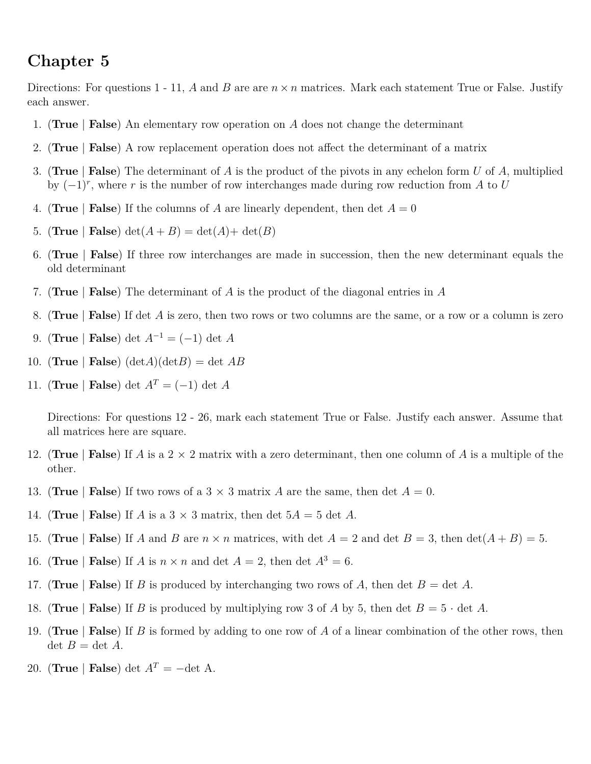## **Chapter 5**

Directions: For questions 1 - 11, *A* and *B* are are  $n \times n$  matrices. Mark each statement True or False. Justify each answer.

- 1. (**True** | **False**) An elementary row operation on *A* does not change the determinant
- 2. (**True** | **False**) A row replacement operation does not affect the determinant of a matrix
- 3. (**True** | **False**) The determinant of *A* is the product of the pivots in any echelon form *U* of *A*, multiplied by (−1)*<sup>r</sup>* , where *r* is the number of row interchanges made during row reduction from *A* to *U*
- 4. **(True** | **False**) If the columns of *A* are linearly dependent, then det  $A = 0$
- 5. (**True** | **False**)  $\det(A + B) = \det(A) + \det(B)$
- 6. (**True** | **False**) If three row interchanges are made in succession, then the new determinant equals the old determinant
- 7. (**True** | **False**) The determinant of *A* is the product of the diagonal entries in *A*
- 8. (**True** | **False**) If det *A* is zero, then two rows or two columns are the same, or a row or a column is zero
- 9. (**True** | **False**) det *A*<sup>−</sup><sup>1</sup> = (−1) det *A*
- 10. (**True** | **False**) ( $det A$ )( $det B$ ) = det *AB*
- 11. (**True** | **False**) det  $A^T = (-1)$  det *A*

Directions: For questions 12 - 26, mark each statement True or False. Justify each answer. Assume that all matrices here are square.

- 12. (**True** | **False**) If *A* is a 2 × 2 matrix with a zero determinant, then one column of *A* is a multiple of the other.
- 13. (True | **False**) If two rows of a  $3 \times 3$  matrix *A* are the same, then det  $A = 0$ .
- 14. (**True** | **False**) If *A* is a 3  $\times$  3 matrix, then det  $5A = 5$  det *A*.
- 15. (**True** | **False**) If *A* and *B* are  $n \times n$  matrices, with det  $A = 2$  and det  $B = 3$ , then  $\det(A + B) = 5$ .
- 16. (**True** | **False**) If *A* is  $n \times n$  and det  $A = 2$ , then det  $A^3 = 6$ .
- 17. (**True** | **False**) If *B* is produced by interchanging two rows of *A*, then det *B* = det *A*.
- 18. (**True** | **False**) If *B* is produced by multiplying row 3 of *A* by 5, then det  $B = 5 \cdot det A$ .
- 19. (**True** | **False**) If *B* is formed by adding to one row of *A* of a linear combination of the other rows, then  $\det B = \det A$ .
- 20. (**True** | **False**) det  $A^T = -\det A$ .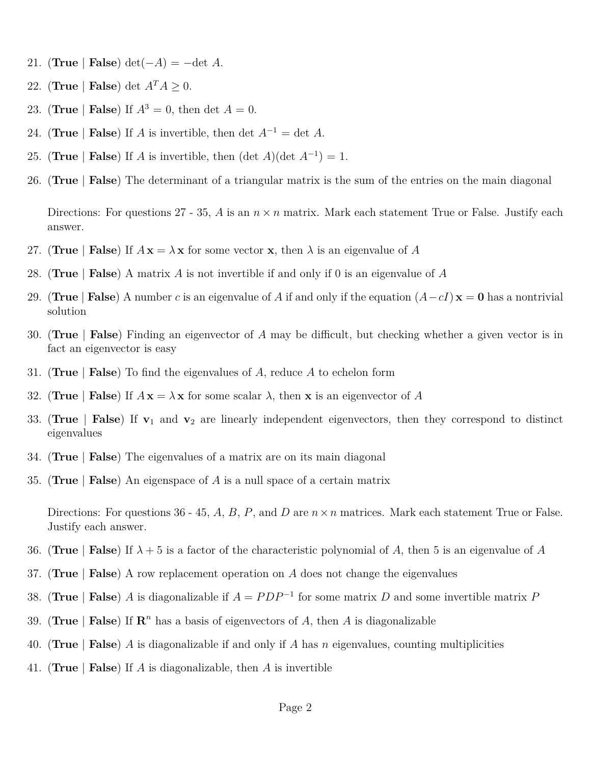- 21. (**True** | **False**) det( $-A$ ) =  $-\text{det } A$ .
- 22. (**True** | **False**) det  $A^T A \geq 0$ .
- 23. (**True** | **False**) If  $A^3 = 0$ , then det  $A = 0$ .
- 24. (**True** | **False**) If *A* is invertible, then det  $A^{-1} = \det A$ .
- 25. (**True** | **False**) If *A* is invertible, then  $(\det A)(\det A^{-1}) = 1$ .
- 26. (**True** | **False**) The determinant of a triangular matrix is the sum of the entries on the main diagonal

Directions: For questions 27 - 35, *A* is an  $n \times n$  matrix. Mark each statement True or False. Justify each answer.

- 27. (True | False) If  $A x = \lambda x$  for some vector **x**, then  $\lambda$  is an eigenvalue of A
- 28. (**True** | **False**) A matrix *A* is not invertible if and only if 0 is an eigenvalue of *A*
- 29. (**True** | **False**) A number *c* is an eigenvalue of *A* if and only if the equation  $(A cI) \mathbf{x} = \mathbf{0}$  has a nontrivial solution
- 30. (**True** | **False**) Finding an eigenvector of *A* may be difficult, but checking whether a given vector is in fact an eigenvector is easy
- 31. (**True** | **False**) To find the eigenvalues of *A*, reduce *A* to echelon form
- 32. (True | False) If  $A x = \lambda x$  for some scalar  $\lambda$ , then x is an eigenvector of A
- 33. (**True** | **False**) If **v**<sup>1</sup> and **v**<sup>2</sup> are linearly independent eigenvectors, then they correspond to distinct eigenvalues
- 34. (**True** | **False**) The eigenvalues of a matrix are on its main diagonal
- 35. (**True** | **False**) An eigenspace of *A* is a null space of a certain matrix

Directions: For questions 36 - 45, *A*, *B*, *P*, and *D* are *n*×*n* matrices. Mark each statement True or False. Justify each answer.

- 36. (**True** | **False**) If  $\lambda + 5$  is a factor of the characteristic polynomial of A, then 5 is an eigenvalue of A
- 37. (**True** | **False**) A row replacement operation on *A* does not change the eigenvalues
- 38. (**True** | **False**) *A* is diagonalizable if  $A = PDP^{-1}$  for some matrix *D* and some invertible matrix *P*
- 39. (True | False) If  $\mathbb{R}^n$  has a basis of eigenvectors of A, then A is diagonalizable
- 40. (**True** | **False**) *A* is diagonalizable if and only if *A* has *n* eigenvalues, counting multiplicities
- 41. (**True** | **False**) If *A* is diagonalizable, then *A* is invertible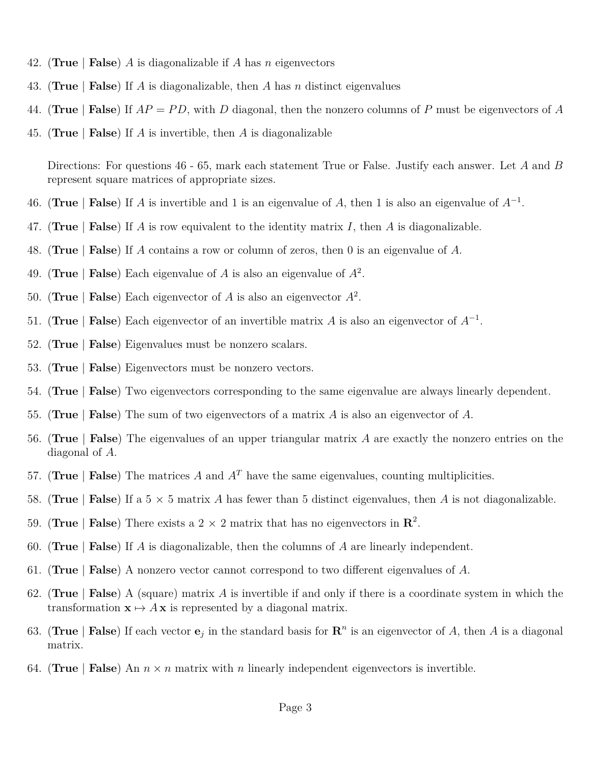- 42. (**True** | **False**) *A* is diagonalizable if *A* has *n* eigenvectors
- 43. (**True** | **False**) If *A* is diagonalizable, then *A* has *n* distinct eigenvalues
- 44. (**True** | **False**) If *AP* = *P D*, with *D* diagonal, then the nonzero columns of *P* must be eigenvectors of *A*
- 45. (**True** | **False**) If *A* is invertible, then *A* is diagonalizable

Directions: For questions 46 - 65, mark each statement True or False. Justify each answer. Let *A* and *B* represent square matrices of appropriate sizes.

- 46. (**True** | **False**) If *A* is invertible and 1 is an eigenvalue of *A*, then 1 is also an eigenvalue of  $A^{-1}$ .
- 47. (**True** | **False**) If *A* is row equivalent to the identity matrix *I*, then *A* is diagonalizable.
- 48. (**True** | **False**) If *A* contains a row or column of zeros, then 0 is an eigenvalue of *A*.
- 49. (**True** | **False**) Each eigenvalue of *A* is also an eigenvalue of *A*<sup>2</sup> .
- 50. (True | **False**) Each eigenvector of  $A$  is also an eigenvector  $A^2$ .
- 51. (**True** | **False**) Each eigenvector of an invertible matrix *A* is also an eigenvector of  $A^{-1}$ .
- 52. (**True** | **False**) Eigenvalues must be nonzero scalars.
- 53. (**True** | **False**) Eigenvectors must be nonzero vectors.
- 54. (**True** | **False**) Two eigenvectors corresponding to the same eigenvalue are always linearly dependent.
- 55. (**True** | **False**) The sum of two eigenvectors of a matrix *A* is also an eigenvector of *A*.
- 56. (**True** | **False**) The eigenvalues of an upper triangular matrix *A* are exactly the nonzero entries on the diagonal of *A*.
- 57. (**True** | **False**) The matrices *A* and  $A<sup>T</sup>$  have the same eigenvalues, counting multiplicities.
- 58. (**True** | **False**) If a 5  $\times$  5 matrix *A* has fewer than 5 distinct eigenvalues, then *A* is not diagonalizable.
- 59. (True | **False**) There exists a  $2 \times 2$  matrix that has no eigenvectors in  $\mathbb{R}^2$ .
- 60. (**True** | **False**) If *A* is diagonalizable, then the columns of *A* are linearly independent.
- 61. (**True** | **False**) A nonzero vector cannot correspond to two different eigenvalues of *A*.
- 62. (**True** | **False**) A (square) matrix *A* is invertible if and only if there is a coordinate system in which the transformation  $\mathbf{x} \mapsto A\mathbf{x}$  is represented by a diagonal matrix.
- 63. (True | **False**) If each vector  $e_j$  in the standard basis for  $\mathbb{R}^n$  is an eigenvector of *A*, then *A* is a diagonal matrix.
- 64. (True | False) An  $n \times n$  matrix with *n* linearly independent eigenvectors is invertible.